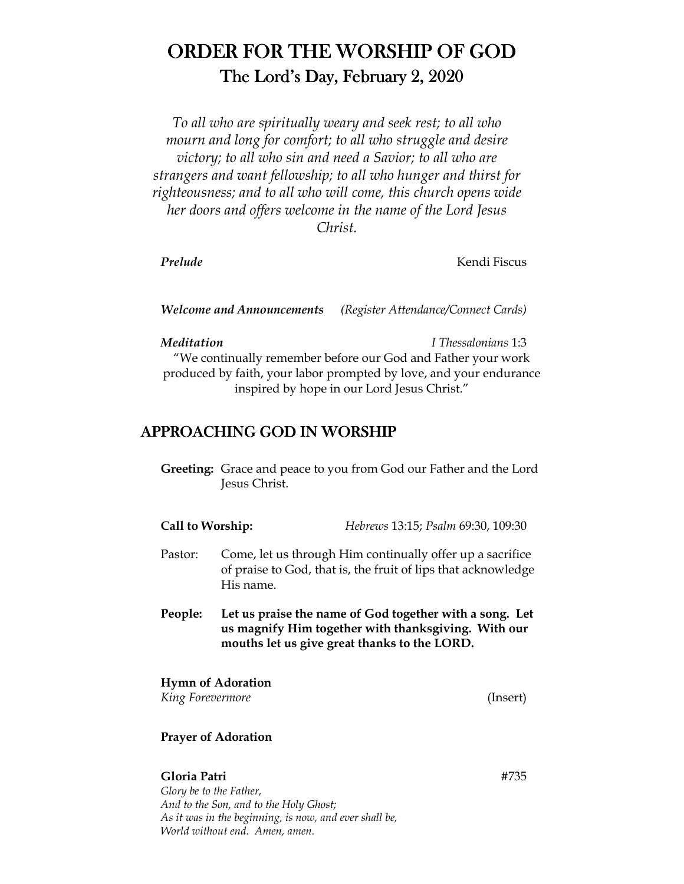# ORDER FOR THE WORSHIP OF GOD The Lord's Day, February 2, 2020

*To all who are spiritually weary and seek rest; to all who mourn and long for comfort; to all who struggle and desire victory; to all who sin and need a Savior; to all who are strangers and want fellowship; to all who hunger and thirst for righteousness; and to all who will come, this church opens wide her doors and offers welcome in the name of the Lord Jesus Christ.* 

*Prelude* Kendi Fiscus

*Welcome and Announcements (Register Attendance/Connect Cards)* 

*Meditation I Thessalonians* 1:3

"We continually remember before our God and Father your work produced by faith, your labor prompted by love, and your endurance inspired by hope in our Lord Jesus Christ."

## APPROACHING GOD IN WORSHIP

 **Greeting:** Grace and peace to you from God our Father and the Lord Jesus Christ.

| Call to Worship: | Hebrews 13:15; Psalm 69:30, 109:30 |
|------------------|------------------------------------|
|                  |                                    |

- Pastor: Come, let us through Him continually offer up a sacrifice of praise to God, that is, the fruit of lips that acknowledge His name.
- **People: Let us praise the name of God together with a song. Let us magnify Him together with thanksgiving. With our mouths let us give great thanks to the LORD.**

### **Hymn of Adoration**

*King Forevermore* (Insert)

#### **Prayer of Adoration**

**Gloria Patri** #735 *Glory be to the Father, And to the Son, and to the Holy Ghost; As it was in the beginning, is now, and ever shall be, World without end. Amen, amen.*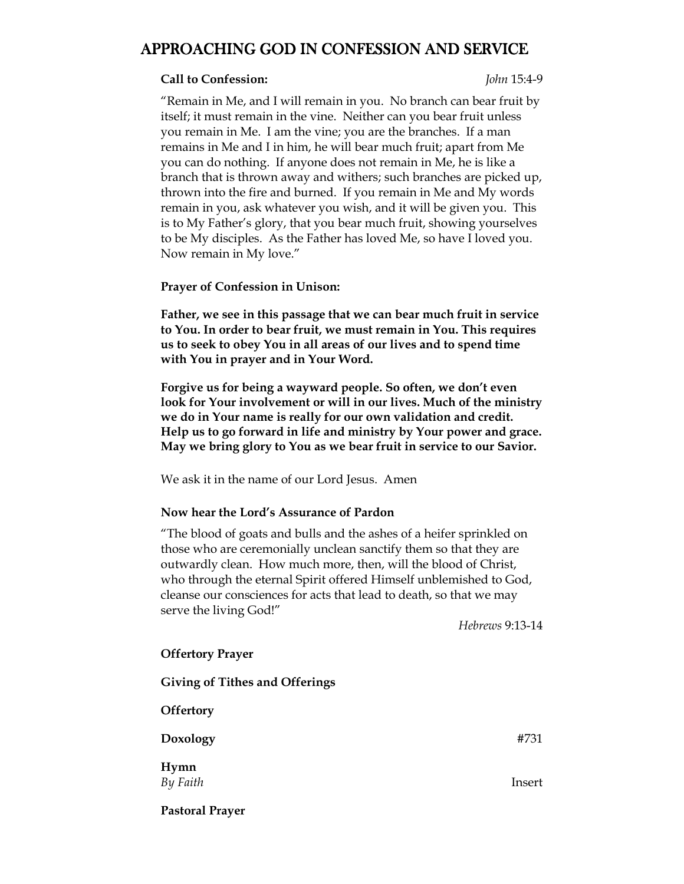## APPROACHING GOD IN CONFESSION AND SERVICE

#### **Call to Confession:** *John* 15:4-9

"Remain in Me, and I will remain in you. No branch can bear fruit by itself; it must remain in the vine. Neither can you bear fruit unless you remain in Me. I am the vine; you are the branches. If a man remains in Me and I in him, he will bear much fruit; apart from Me you can do nothing. If anyone does not remain in Me, he is like a branch that is thrown away and withers; such branches are picked up, thrown into the fire and burned. If you remain in Me and My words remain in you, ask whatever you wish, and it will be given you. This is to My Father's glory, that you bear much fruit, showing yourselves to be My disciples. As the Father has loved Me, so have I loved you. Now remain in My love."

#### **Prayer of Confession in Unison:**

**Father, we see in this passage that we can bear much fruit in service to You. In order to bear fruit, we must remain in You. This requires us to seek to obey You in all areas of our lives and to spend time with You in prayer and in Your Word.** 

**Forgive us for being a wayward people. So often, we don't even look for Your involvement or will in our lives. Much of the ministry we do in Your name is really for our own validation and credit. Help us to go forward in life and ministry by Your power and grace. May we bring glory to You as we bear fruit in service to our Savior.** 

We ask it in the name of our Lord Jesus. Amen

#### **Now hear the Lord's Assurance of Pardon**

"The blood of goats and bulls and the ashes of a heifer sprinkled on those who are ceremonially unclean sanctify them so that they are outwardly clean. How much more, then, will the blood of Christ, who through the eternal Spirit offered Himself unblemished to God, cleanse our consciences for acts that lead to death, so that we may serve the living God!"

*Hebrews* 9:13-14

| <b>Offertory Prayer</b>               |        |
|---------------------------------------|--------|
| <b>Giving of Tithes and Offerings</b> |        |
| <b>Offertory</b>                      |        |
| Doxology                              | #731   |
| Hymn<br>By Faith                      | Insert |
| <b>Pastoral Prayer</b>                |        |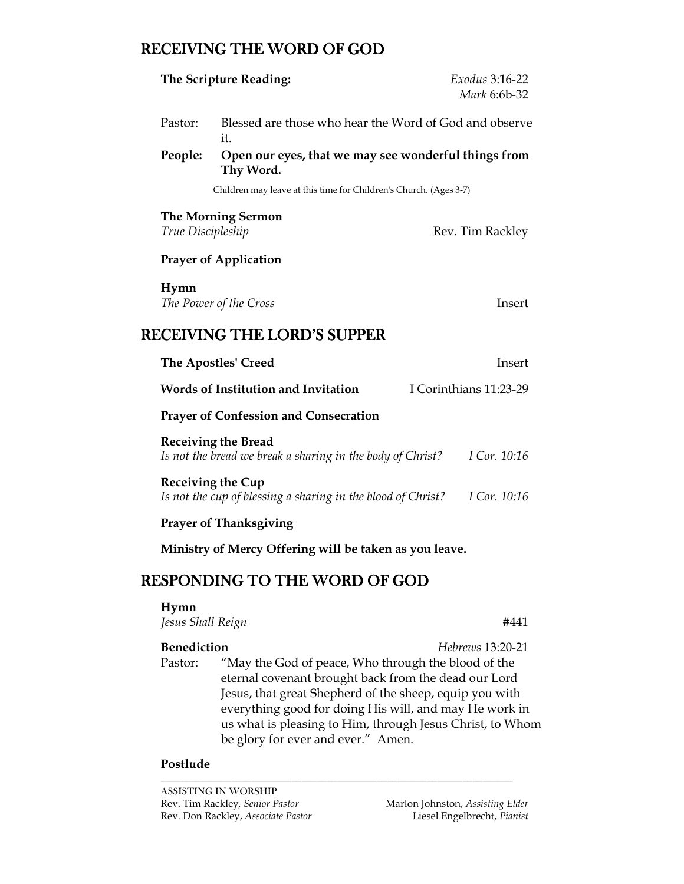## RECEIVING THE WORD OF GOD

|                               | The Scripture Reading:                                                                                      | Exodus 3:16-22<br>Mark 6:6b-32 |  |
|-------------------------------|-------------------------------------------------------------------------------------------------------------|--------------------------------|--|
| Pastor:                       | Blessed are those who hear the Word of God and observe<br>it.                                               |                                |  |
| People:                       | Open our eyes, that we may see wonderful things from<br>Thy Word.                                           |                                |  |
|                               | Children may leave at this time for Children's Church. (Ages 3-7)                                           |                                |  |
| True Discipleship             | <b>The Morning Sermon</b>                                                                                   | Rev. Tim Rackley               |  |
|                               | <b>Prayer of Application</b>                                                                                |                                |  |
| Hymn                          | The Power of the Cross                                                                                      | Insert                         |  |
|                               | <b>RECEIVING THE LORD'S SUPPER</b>                                                                          |                                |  |
|                               | <b>The Apostles' Creed</b>                                                                                  | Insert                         |  |
|                               | Words of Institution and Invitation                                                                         | I Corinthians 11:23-29         |  |
|                               | <b>Prayer of Confession and Consecration</b>                                                                |                                |  |
|                               | <b>Receiving the Bread</b><br>Is not the bread we break a sharing in the body of Christ?                    | I Cor. 10:16                   |  |
| <b>Receiving the Cup</b>      | Is not the cup of blessing a sharing in the blood of Christ?                                                | I Cor. 10:16                   |  |
|                               | <b>Prayer of Thanksgiving</b>                                                                               |                                |  |
|                               | Ministry of Mercy Offering will be taken as you leave.                                                      |                                |  |
|                               | <b>RESPONDING TO THE WORD OF GOD</b>                                                                        |                                |  |
| Hymn<br>Jesus Shall Reign     |                                                                                                             | #441                           |  |
| <b>Benediction</b><br>Pastor: | "May the God of peace, Who through the blood of the<br>eternal covenant brought back from the dead our Lord | <i>Hebrews</i> 13:20-21        |  |

Jesus, that great Shepherd of the sheep, equip you with everything good for doing His will, and may He work in us what is pleasing to Him, through Jesus Christ, to Whom be glory for ever and ever." Amen.

*\_\_\_\_\_\_\_\_\_\_\_\_\_\_\_\_\_\_\_\_\_\_\_\_\_\_\_\_\_\_\_\_\_\_\_\_\_\_\_\_\_\_\_\_\_\_\_\_\_\_\_\_\_\_\_\_\_\_\_\_\_\_\_\_\_\_\_\_\_\_*

#### **Postlude**

ASSISTING IN WORSHIP Rev. Tim Rackley*, Senior Pastor* Marlon Johnston, *Assisting Elder*  Rev. Don Rackley, *Associate Pastor*